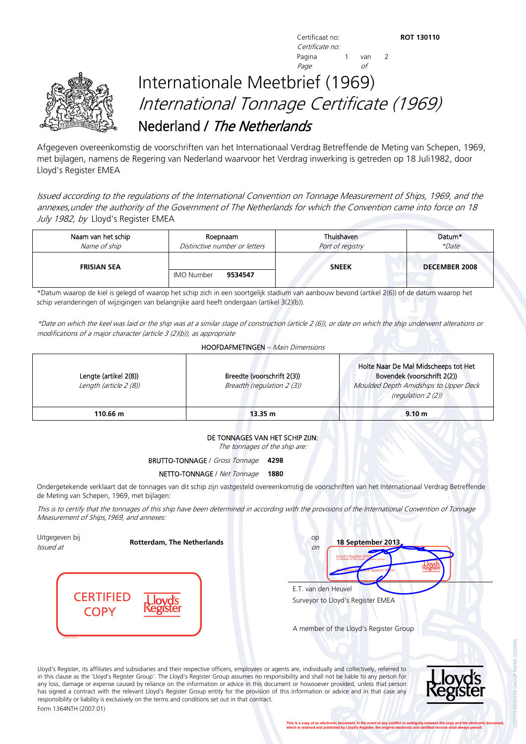**Certificaat no: ROT 130110 ROT 130110** Certificate no: Pagina 1 van 2 Page of



## Internationale Meetbrief (1969) International Tonnage Certificate (1969) Nederland / The Netherlands

Afgegeven overeenkomstig de voorschriften van het Internationaal Verdrag Betreffende de Meting van Schepen, 1969, met bijlagen, namens de Regering van Nederland waarvoor het Verdrag inwerking is getreden op 18 Juli1982, door Lloyd's Register EMEA

Issued according to the regulations of the International Convention on Tonnage Measurement of Ships, 1969, and the annexes,under the authority of the Government of The Netherlands for which the Convention came into force on 18 July 1982, by Lloyd's Register EMEA

| Naam van het schip | Roepnaam                      | Thuishaven       | Datum*               |
|--------------------|-------------------------------|------------------|----------------------|
| Name of ship       | Distinctive number or letters | Port of registry | *Date                |
| <b>FRISIAN SEA</b> | <b>IMO Number</b><br>9534547  | <b>SNEEK</b>     | <b>DECEMBER 2008</b> |

\*Datum waarop de kiel is gelegd of waarop het schip zich in een soortgelijk stadium van aanbouw bevond (artikel 2(6)) of de datum waarop het schip veranderingen of wijzigingen van belangrijke aard heeft ondergaan (artikel 3(2)(b)).

\*Date on which the keel was laid or the ship was at a similar stage of construction (article 2 (6)), or date on which the ship underwent alterations or modifications of a major character (article 3 (2)(b)), as appropriate

| Lengte (artikel 2(8))<br>Length (article 2 (8)) | Breedte (voorschrift 2(3))<br>Breadth (regulation 2 (3)) | Holte Naar De Mal Midscheeps tot Het<br>Bovendek (voorschrift 2(2))<br>Moulded Depth Amidships to Upper Deck<br>(regulation 2 (2)) |
|-------------------------------------------------|----------------------------------------------------------|------------------------------------------------------------------------------------------------------------------------------------|
| 110.66 m                                        | 13.35 m                                                  | 9.10 <sub>m</sub>                                                                                                                  |

## DE TONNAGES VAN HET SCHIP ZIJN:

The tonnages of the ship are:

## BRUTTO-TONNAGE / Gross Tonnage **4298**

## NETTO-TONNAGE / Net Tonnage **1880**

Ondergetekende verklaart dat de tonnages van dit schip zijn vastgesteld overeenkomstig de voorschriften van het Internationaal Verdrag Betreffende de Meting van Schepen, 1969, met bijlagen:

This is to certify that the tonnages of this ship have been determined in according with the provisions of the International Convention of Tonnage Measurement of Ships,1969, and annexes:

Uitgegeven bij **Issued at <b>Rotterdam, The Netherlands C** *Issued at* **CERTIFIED COPY** 

LR2009.004.1

| op<br>18 September 2013,<br>on<br>Lloyd's Register EME<br><b>Urterdam</b><br><b>Annual Support Of</b> |
|-------------------------------------------------------------------------------------------------------|
| E.T. van den Heuvel                                                                                   |
| Surveyor to Lloyd's Register EMEA                                                                     |

A member of the Lloyd's Register Group

Lloyd's Register, its affiliates and subsidiaries and their respective officers, employees or agents are, individually and collectively, referred to in this clause as the 'Lloyd's Register Group'. The Lloyd's Register Group assumes no responsibility and shall not be liable to any person for any loss, damage or expense caused by reliance on the information or advice in this document or howsoever provided, unless that person has signed a contract with the relevant Lloyd's Register Group entity for the provision of this information or advice and in that case any responsibility or liability is exclusively on the terms and conditions set out in that contract. Form 1364NTH (2007.01)